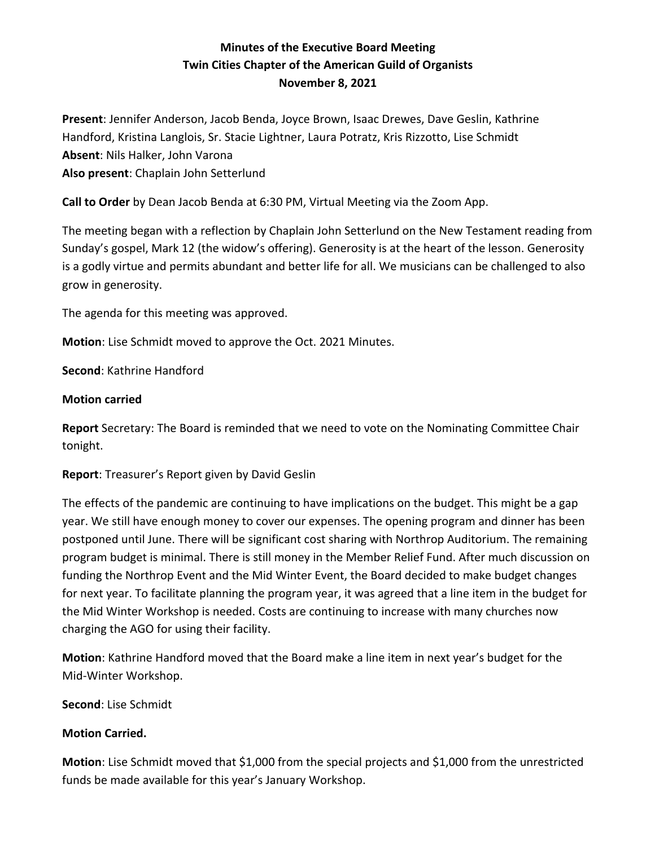# **Minutes of the Executive Board Meeting Twin Cities Chapter of the American Guild of Organists November 8, 2021**

**Present**: Jennifer Anderson, Jacob Benda, Joyce Brown, Isaac Drewes, Dave Geslin, Kathrine Handford, Kristina Langlois, Sr. Stacie Lightner, Laura Potratz, Kris Rizzotto, Lise Schmidt **Absent**: Nils Halker, John Varona **Also present**: Chaplain John Setterlund

**Call to Order** by Dean Jacob Benda at 6:30 PM, Virtual Meeting via the Zoom App.

The meeting began with a reflection by Chaplain John Setterlund on the New Testament reading from Sunday's gospel, Mark 12 (the widow's offering). Generosity is at the heart of the lesson. Generosity is a godly virtue and permits abundant and better life for all. We musicians can be challenged to also grow in generosity.

The agenda for this meeting was approved.

**Motion**: Lise Schmidt moved to approve the Oct. 2021 Minutes.

**Second**: Kathrine Handford

# **Motion carried**

**Report** Secretary: The Board is reminded that we need to vote on the Nominating Committee Chair tonight.

**Report**: Treasurer's Report given by David Geslin

The effects of the pandemic are continuing to have implications on the budget. This might be a gap year. We still have enough money to cover our expenses. The opening program and dinner has been postponed until June. There will be significant cost sharing with Northrop Auditorium. The remaining program budget is minimal. There is still money in the Member Relief Fund. After much discussion on funding the Northrop Event and the Mid Winter Event, the Board decided to make budget changes for next year. To facilitate planning the program year, it was agreed that a line item in the budget for the Mid Winter Workshop is needed. Costs are continuing to increase with many churches now charging the AGO for using their facility.

**Motion**: Kathrine Handford moved that the Board make a line item in next year's budget for the Mid-Winter Workshop.

**Second**: Lise Schmidt

# **Motion Carried.**

**Motion**: Lise Schmidt moved that \$1,000 from the special projects and \$1,000 from the unrestricted funds be made available for this year's January Workshop.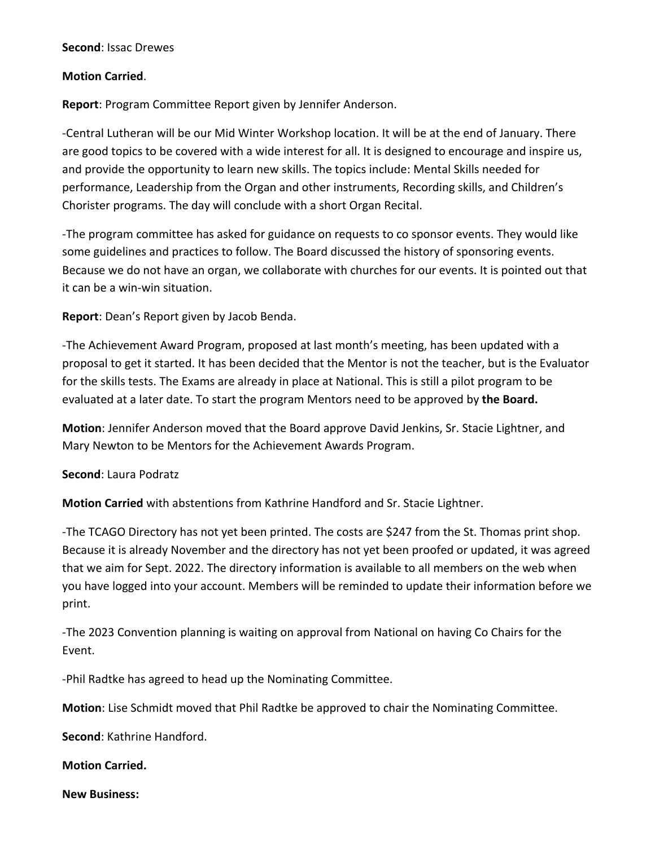#### **Second**: Issac Drewes

#### **Motion Carried**.

**Report**: Program Committee Report given by Jennifer Anderson.

-Central Lutheran will be our Mid Winter Workshop location. It will be at the end of January. There are good topics to be covered with a wide interest for all. It is designed to encourage and inspire us, and provide the opportunity to learn new skills. The topics include: Mental Skills needed for performance, Leadership from the Organ and other instruments, Recording skills, and Children's Chorister programs. The day will conclude with a short Organ Recital.

-The program committee has asked for guidance on requests to co sponsor events. They would like some guidelines and practices to follow. The Board discussed the history of sponsoring events. Because we do not have an organ, we collaborate with churches for our events. It is pointed out that it can be a win-win situation.

**Report**: Dean's Report given by Jacob Benda.

-The Achievement Award Program, proposed at last month's meeting, has been updated with a proposal to get it started. It has been decided that the Mentor is not the teacher, but is the Evaluator for the skills tests. The Exams are already in place at National. This is still a pilot program to be evaluated at a later date. To start the program Mentors need to be approved by **the Board.**

**Motion**: Jennifer Anderson moved that the Board approve David Jenkins, Sr. Stacie Lightner, and Mary Newton to be Mentors for the Achievement Awards Program.

### **Second**: Laura Podratz

**Motion Carried** with abstentions from Kathrine Handford and Sr. Stacie Lightner.

-The TCAGO Directory has not yet been printed. The costs are \$247 from the St. Thomas print shop. Because it is already November and the directory has not yet been proofed or updated, it was agreed that we aim for Sept. 2022. The directory information is available to all members on the web when you have logged into your account. Members will be reminded to update their information before we print.

-The 2023 Convention planning is waiting on approval from National on having Co Chairs for the Event.

-Phil Radtke has agreed to head up the Nominating Committee.

**Motion**: Lise Schmidt moved that Phil Radtke be approved to chair the Nominating Committee.

**Second**: Kathrine Handford.

### **Motion Carried.**

**New Business:**